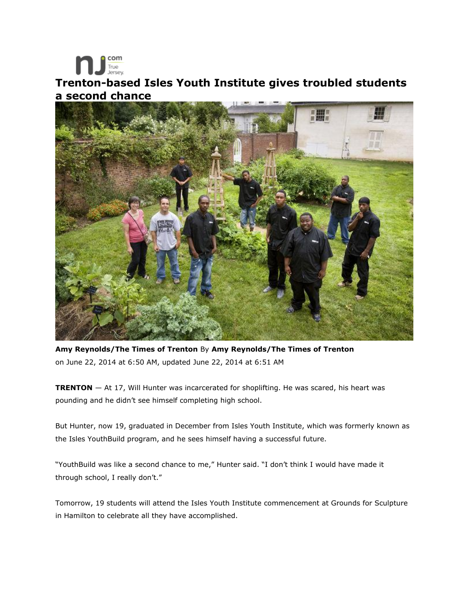True<br>Jersey **Trenton-based Isles Youth Institute gives troubled students a second chance** 

com



**Amy Reynolds/The Times of Trenton** By **Amy Reynolds/The Times of Trenton**  on June 22, 2014 at 6:50 AM, updated June 22, 2014 at 6:51 AM

**TRENTON** — At 17, Will Hunter was incarcerated for shoplifting. He was scared, his heart was pounding and he didn't see himself completing high school.

But Hunter, now 19, graduated in December from Isles Youth Institute, which was formerly known as the Isles YouthBuild program, and he sees himself having a successful future.

"YouthBuild was like a second chance to me," Hunter said. "I don't think I would have made it through school, I really don't."

Tomorrow, 19 students will attend the Isles Youth Institute commencement at Grounds for Sculpture in Hamilton to celebrate all they have accomplished.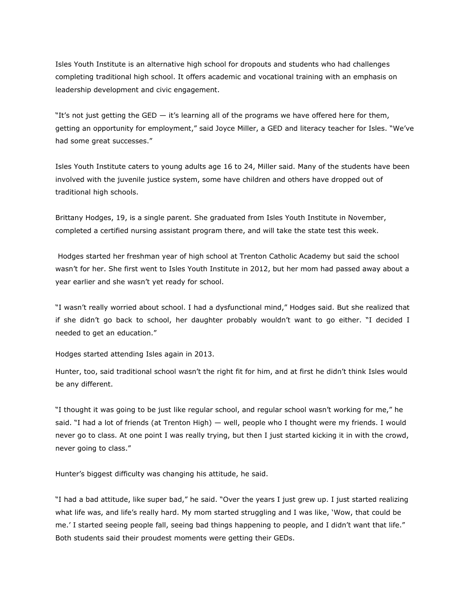Isles Youth Institute is an alternative high school for dropouts and students who had challenges completing traditional high school. It offers academic and vocational training with an emphasis on leadership development and civic engagement.

"It's not just getting the GED  $-$  it's learning all of the programs we have offered here for them, getting an opportunity for employment," said Joyce Miller, a GED and literacy teacher for Isles. "We've had some great successes."

Isles Youth Institute caters to young adults age 16 to 24, Miller said. Many of the students have been involved with the juvenile justice system, some have children and others have dropped out of traditional high schools.

Brittany Hodges, 19, is a single parent. She graduated from Isles Youth Institute in November, completed a certified nursing assistant program there, and will take the state test this week.

Hodges started her freshman year of high school at Trenton Catholic Academy but said the school wasn't for her. She first went to Isles Youth Institute in 2012, but her mom had passed away about a year earlier and she wasn't yet ready for school.

"I wasn't really worried about school. I had a dysfunctional mind," Hodges said. But she realized that if she didn't go back to school, her daughter probably wouldn't want to go either. "I decided I needed to get an education."

Hodges started attending Isles again in 2013.

Hunter, too, said traditional school wasn't the right fit for him, and at first he didn't think Isles would be any different.

"I thought it was going to be just like regular school, and regular school wasn't working for me," he said. "I had a lot of friends (at Trenton High) — well, people who I thought were my friends. I would never go to class. At one point I was really trying, but then I just started kicking it in with the crowd, never going to class."

Hunter's biggest difficulty was changing his attitude, he said.

"I had a bad attitude, like super bad," he said. "Over the years I just grew up. I just started realizing what life was, and life's really hard. My mom started struggling and I was like, 'Wow, that could be me.' I started seeing people fall, seeing bad things happening to people, and I didn't want that life." Both students said their proudest moments were getting their GEDs.